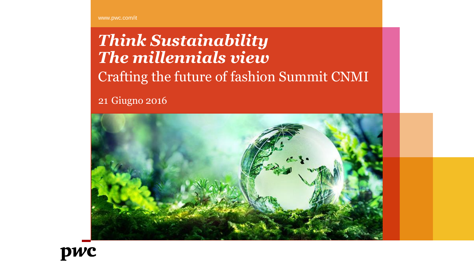www.pwc.com/it

# *Think Sustainability The millennials view* Crafting the future of fashion Summit CNMI

21 Giugno 2016



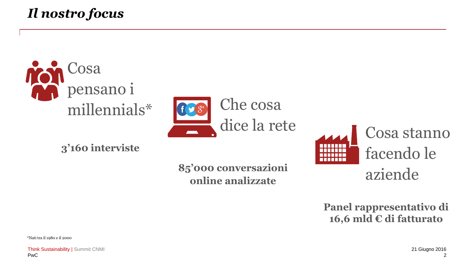### *Il nostro focus*





**3'160 interviste**

**85'000 conversazioni online analizzate**



**Panel rappresentativo di 16,6 mld € di fatturato**

\*Nati tra il 1980 e il 2000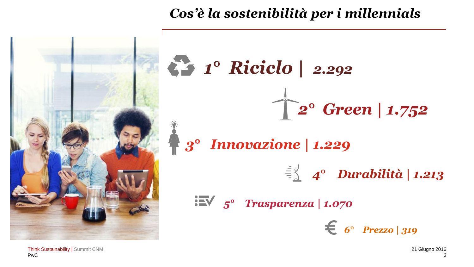

### *Cos'è la sostenibilità per i millennials*



PwC Think Sustainability | Summit CNMI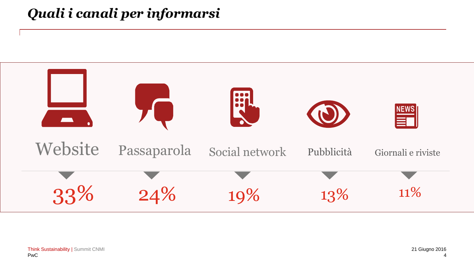### *Quali i canali per informarsi*

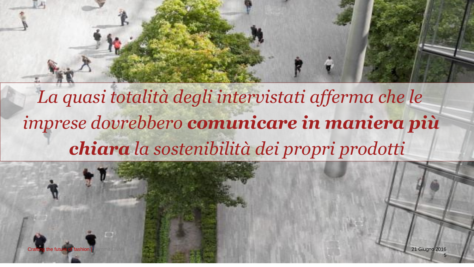

*La quasi totalità degli intervistati afferma che le chiara la sostenibilità dei propri prodotti imprese dovrebbero comunicare in maniera più*

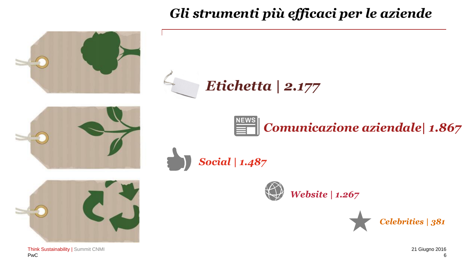### *Gli strumenti più efficaci per le aziende*



PwC Think Sustainability | Summit CNMI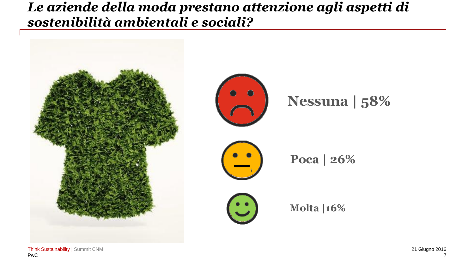#### *Le aziende della moda prestano attenzione agli aspetti di sostenibilità ambientali e sociali?*

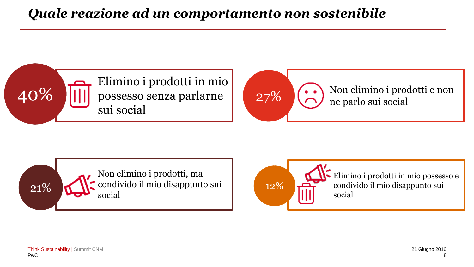### *Quale reazione ad un comportamento non sostenibile*







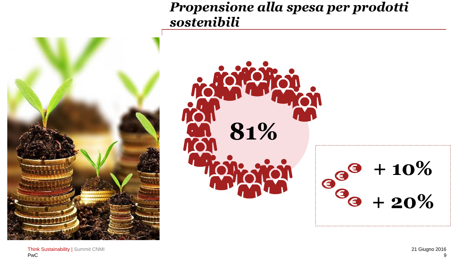#### *Propensione alla spesa per prodotti sostenibili*

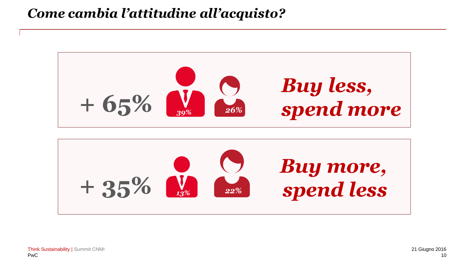#### *Come cambia l'attitudine all'acquisto?*



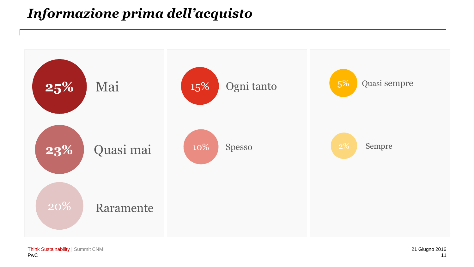### *Informazione prima dell'acquisto*

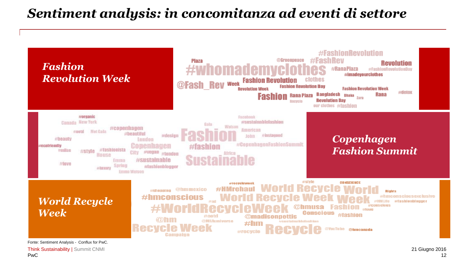#### *Sentiment analysis: in concomitanza ad eventi di settore*



PwC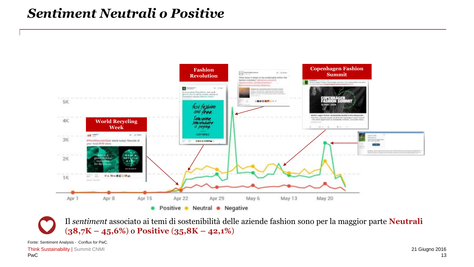#### *Sentiment Neutrali o Positive*



Il *sentiment* associato ai temi di sostenibilità delle aziende fashion sono per la maggior parte **Neutrali** (**38,7K – 45,6%**) o **Positive** (**35,8K – 42,1%**)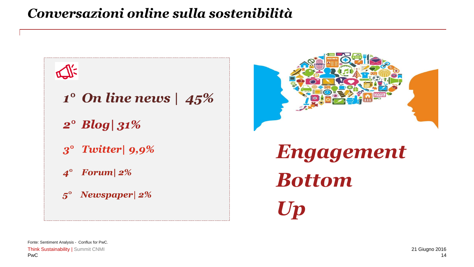### *Conversazioni online sulla sostenibilità*





```
Engagement 
Bottom 
Up
```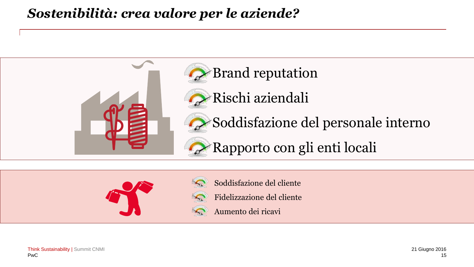#### *Sostenibilità: crea valore per le aziende?*





- Soddisfazione del cliente
- Fidelizzazione del cliente
- Aumento dei ricavi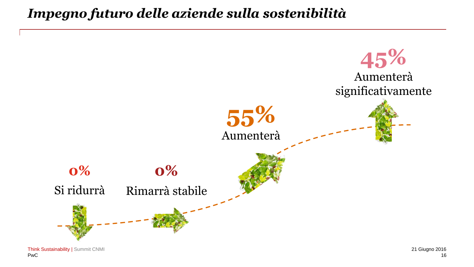#### *Impegno futuro delle aziende sulla sostenibilità*

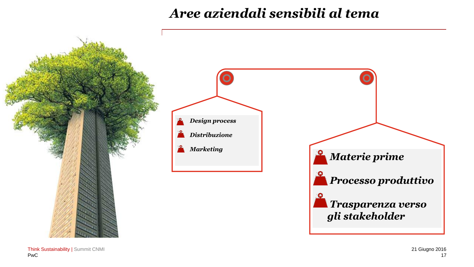### *Aree aziendali sensibili al tema*



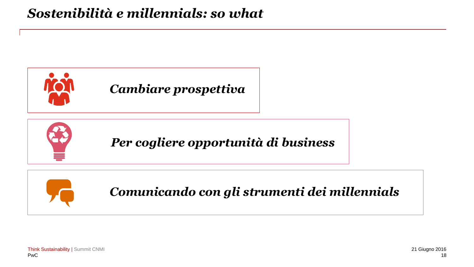### *Sostenibilità e millennials: so what*